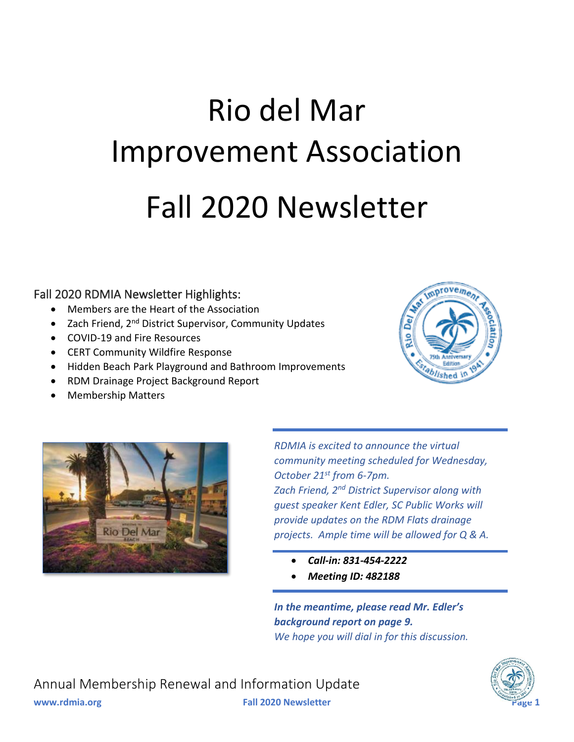# Rio del Mar Improvement Association Fall 2020 Newsletter

### Fall 2020 RDMIA Newsletter Highlights:

- Members are the Heart of the Association
- Zach Friend, 2<sup>nd</sup> District Supervisor, Community Updates
- COVID-19 and Fire Resources
- CERT Community Wildfire Response
- Hidden Beach Park Playground and Bathroom Improvements
- RDM Drainage Project Background Report
- Membership Matters





*RDMIA is excited to announce the virtual community meeting scheduled for Wednesday, October 21st from 6-7pm. Zach Friend, 2nd District Supervisor along with* 

*guest speaker Kent Edler, SC Public Works will provide updates on the RDM Flats drainage projects. Ample time will be allowed for Q & A.* 

- *Call-in: 831-454-2222*
- *Meeting ID: 482188*

*In the meantime, please read Mr. Edler's background report on page 9. We hope you will dial in for this discussion.*



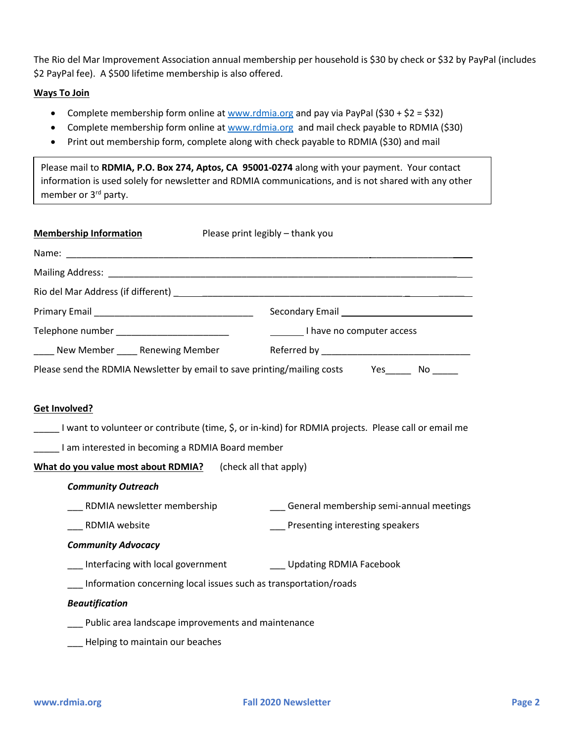The Rio del Mar Improvement Association annual membership per household is \$30 by check or \$32 by PayPal (includes \$2 PayPal fee). A \$500 lifetime membership is also offered.

#### **Ways To Join**

- Complete membership form online at [www.rdmia.org](http://www.rdmia.org/) and pay via PayPal  $(530 + 52 = 532)$
- Complete membership form online at [www.rdmia.org](http://www.rdmia.org/) and mail check payable to RDMIA (\$30)
- Print out membership form, complete along with check payable to RDMIA (\$30) and mail

Please mail to **RDMIA, P.O. Box 274, Aptos, CA 95001-0274** along with your payment. Your contact information is used solely for newsletter and RDMIA communications, and is not shared with any other member or 3<sup>rd</sup> party.

| <b>Membership Information</b>                                                                                   | Please print legibly - thank you        |
|-----------------------------------------------------------------------------------------------------------------|-----------------------------------------|
|                                                                                                                 |                                         |
|                                                                                                                 |                                         |
|                                                                                                                 |                                         |
|                                                                                                                 |                                         |
|                                                                                                                 |                                         |
| Lacken New Member Lacken Renewing Member Aleferred by Lacken Lacken New Member Lacken Referred by Lacken Lacken |                                         |
| Please send the RDMIA Newsletter by email to save printing/mailing costs Yes _____ No ____                      |                                         |
|                                                                                                                 |                                         |
| <b>Get Involved?</b>                                                                                            |                                         |
| I want to volunteer or contribute (time, \$, or in-kind) for RDMIA projects. Please call or email me            |                                         |
| I am interested in becoming a RDMIA Board member                                                                |                                         |
| What do you value most about RDMIA? (check all that apply)                                                      |                                         |
| <b>Community Outreach</b>                                                                                       |                                         |
| RDMIA newsletter membership                                                                                     | General membership semi-annual meetings |
| RDMIA website                                                                                                   | Presenting interesting speakers         |
| <b>Community Advocacy</b>                                                                                       |                                         |
| ___ Interfacing with local government _________ Updating RDMIA Facebook                                         |                                         |
| Information concerning local issues such as transportation/roads                                                |                                         |
| <b>Beautification</b>                                                                                           |                                         |
| Public area landscape improvements and maintenance                                                              |                                         |
| Helping to maintain our beaches                                                                                 |                                         |
|                                                                                                                 |                                         |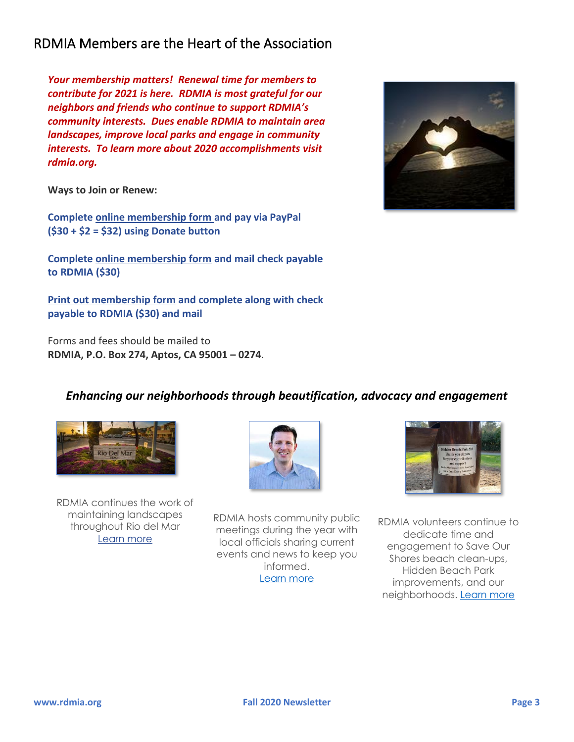### RDMIA Members are the Heart of the Association

*Your membership matters! Renewal time for members to contribute for 2021 is here. RDMIA is most grateful for our neighbors and friends who continue to support RDMIA's community interests. Dues enable RDMIA to maintain area landscapes, improve local parks and engage in community interests. To learn more about 2020 accomplishments visit rdmia.org.*

**Ways to Join or Renew:**

**Complete [online membership form](https://www.rdmia.org/membership-form) and pay via PayPal (\$30 + \$2 = \$32) using Donate button**

**Complete [online membership form](https://www.rdmia.org/membership-form) and mail check payable to RDMIA (\$30)**

**[Print out membership form](https://docs.wixstatic.com/ugd/c30a45_5c1134816cc14ce9a0041daf93c506b6.pdf) and complete along with check payable to RDMIA (\$30) and mail**

Forms and fees should be mailed to **RDMIA, P.O. Box 274, Aptos, CA 95001 – 0274**.

### *Enhancing our neighborhoods through beautification, advocacy and engagement*



RDMIA continues the work of maintaining landscapes throughout Rio del Mar [Learn more](https://www.rdmia.org/projects)

RDMIA hosts community public meetings during the year with local officials sharing current events and news to keep you informed. [Learn more](https://docs.wixstatic.com/ugd/c30a45_767eb0b32ee549cfa11a9fbd3906f381.pdf)





RDMIA volunteers continue to dedicate time and engagement to Save Our Shores beach clean-ups, Hidden Beach Park improvements, and our neighborhoods. Learn more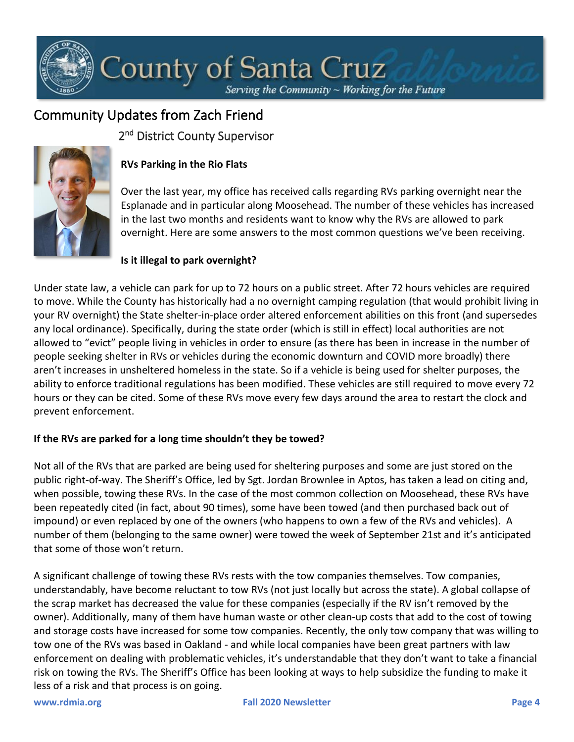## County of Santa Cruz Serving the Community ~ Working for the Future

### Community Updates from Zach Friend

2<sup>nd</sup> District County Supervisor



### **RVs Parking in the Rio Flats**

Over the last year, my office has received calls regarding RVs parking overnight near the Esplanade and in particular along Moosehead. The number of these vehicles has increased in the last two months and residents want to know why the RVs are allowed to park overnight. Here are some answers to the most common questions we've been receiving.

#### **Is it illegal to park overnight?**

Under state law, a vehicle can park for up to 72 hours on a public street. After 72 hours vehicles are required to move. While the County has historically had a no overnight camping regulation (that would prohibit living in your RV overnight) the State shelter-in-place order altered enforcement abilities on this front (and supersedes any local ordinance). Specifically, during the state order (which is still in effect) local authorities are not allowed to "evict" people living in vehicles in order to ensure (as there has been in increase in the number of people seeking shelter in RVs or vehicles during the economic downturn and COVID more broadly) there aren't increases in unsheltered homeless in the state. So if a vehicle is being used for shelter purposes, the ability to enforce traditional regulations has been modified. These vehicles are still required to move every 72 hours or they can be cited. Some of these RVs move every few days around the area to restart the clock and prevent enforcement.

#### **If the RVs are parked for a long time shouldn't they be towed?**

Not all of the RVs that are parked are being used for sheltering purposes and some are just stored on the public right-of-way. The Sheriff's Office, led by Sgt. Jordan Brownlee in Aptos, has taken a lead on citing and, when possible, towing these RVs. In the case of the most common collection on Moosehead, these RVs have been repeatedly cited (in fact, about 90 times), some have been towed (and then purchased back out of impound) or even replaced by one of the owners (who happens to own a few of the RVs and vehicles). A number of them (belonging to the same owner) were towed the week of September 21st and it's anticipated that some of those won't return.

A significant challenge of towing these RVs rests with the tow companies themselves. Tow companies, understandably, have become reluctant to tow RVs (not just locally but across the state). A global collapse of the scrap market has decreased the value for these companies (especially if the RV isn't removed by the owner). Additionally, many of them have human waste or other clean-up costs that add to the cost of towing and storage costs have increased for some tow companies. Recently, the only tow company that was willing to tow one of the RVs was based in Oakland - and while local companies have been great partners with law enforcement on dealing with problematic vehicles, it's understandable that they don't want to take a financial risk on towing the RVs. The Sheriff's Office has been looking at ways to help subsidize the funding to make it less of a risk and that process is on going.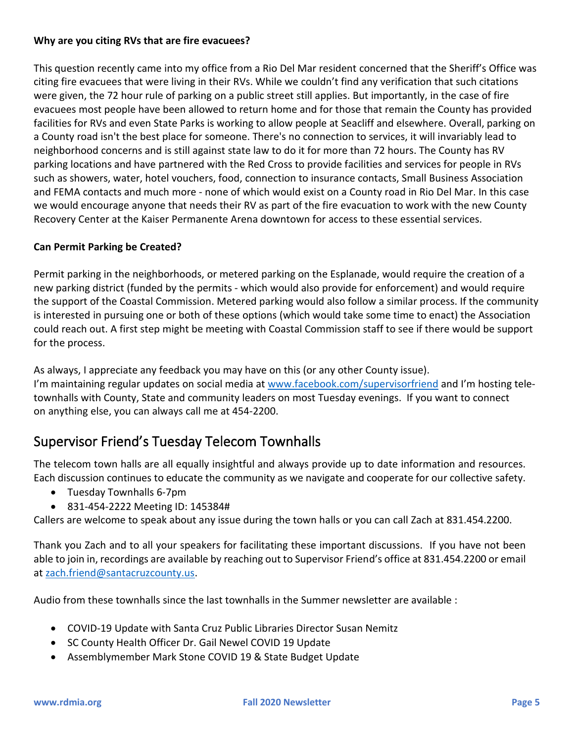#### **Why are you citing RVs that are fire evacuees?**

This question recently came into my office from a Rio Del Mar resident concerned that the Sheriff's Office was citing fire evacuees that were living in their RVs. While we couldn't find any verification that such citations were given, the 72 hour rule of parking on a public street still applies. But importantly, in the case of fire evacuees most people have been allowed to return home and for those that remain the County has provided facilities for RVs and even State Parks is working to allow people at Seacliff and elsewhere. Overall, parking on a County road isn't the best place for someone. There's no connection to services, it will invariably lead to neighborhood concerns and is still against state law to do it for more than 72 hours. The County has RV parking locations and have partnered with the Red Cross to provide facilities and services for people in RVs such as showers, water, hotel vouchers, food, connection to insurance contacts, Small Business Association and FEMA contacts and much more - none of which would exist on a County road in Rio Del Mar. In this case we would encourage anyone that needs their RV as part of the fire evacuation to work with the new County Recovery Center at the Kaiser Permanente Arena downtown for access to these essential services.

#### **Can Permit Parking be Created?**

Permit parking in the neighborhoods, or metered parking on the Esplanade, would require the creation of a new parking district (funded by the permits - which would also provide for enforcement) and would require the support of the Coastal Commission. Metered parking would also follow a similar process. If the community is interested in pursuing one or both of these options (which would take some time to enact) the Association could reach out. A first step might be meeting with Coastal Commission staff to see if there would be support for the process.

As always, I appreciate any feedback you may have on this (or any other County issue). I'm maintaining regular updates on social media at [www.facebook.com/supervisorfriend](http://www.facebook.com/supervisorfriend) and I'm hosting teletownhalls with County, State and community leaders on most Tuesday evenings. If you want to connect on anything else, you can always call me at 454-2200.

### Supervisor Friend's Tuesday Telecom Townhalls

The telecom town halls are all equally insightful and always provide up to date information and resources. Each discussion continues to educate the community as we navigate and cooperate for our collective safety.

- Tuesday Townhalls 6-7pm
- 831-454-2222 Meeting ID: 145384#

Callers are welcome to speak about any issue during the town halls or you can call Zach at 831.454.2200.

Thank you Zach and to all your speakers for facilitating these important discussions. If you have not been able to join in, recordings are available by reaching out to Supervisor Friend's office at 831.454.2200 or email at [zach.friend@santacruzcounty.us.](mailto:zach.friend@santacruzcounty.us)

Audio from these townhalls since the last townhalls in the Summer newsletter are available :

- COVID-19 Update with Santa Cruz Public Libraries Director Susan Nemitz
- SC County Health Officer Dr. Gail Newel COVID 19 Update
- Assemblymember Mark Stone COVID 19 & State Budget Update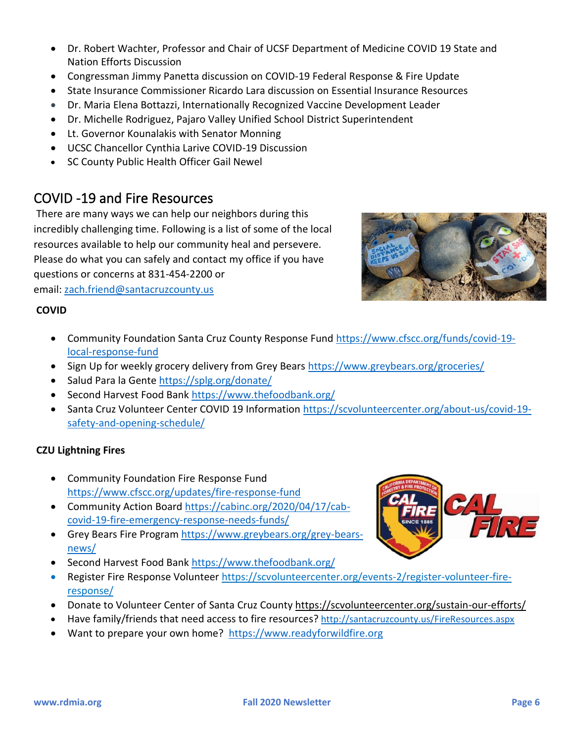- Dr. Robert Wachter, Professor and Chair of UCSF Department of Medicine COVID 19 State and Nation Efforts Discussion
- Congressman Jimmy Panetta discussion on COVID-19 Federal Response & Fire Update
- State Insurance Commissioner Ricardo Lara discussion on Essential Insurance Resources
- Dr. Maria Elena Bottazzi, Internationally Recognized Vaccine Development Leader
- Dr. Michelle Rodriguez, Pajaro Valley Unified School District Superintendent
- Lt. Governor Kounalakis with Senator Monning
- UCSC Chancellor Cynthia Larive COVID-19 Discussion
- SC County Public Health Officer Gail Newel

### COVID -19 and Fire Resources

There are many ways we can help our neighbors during this incredibly challenging time. Following is a list of some of the local resources available to help our community heal and persevere. Please do what you can safely and contact my office if you have questions or concerns at 831-454-2200 or

email: [zach.friend@santacruzcounty.us](mailto:zach.friend@santacruzcounty.us)

#### **COVID**

- Community Foundation Santa Cruz County Response Fund [https://www.cfscc.org/funds/covid-19](https://eur06.safelinks.protection.outlook.com/?url=https%3A%2F%2Fwww.cfscc.org%2Ffunds%2Fcovid-19-local-response-fund&data=02%7C01%7C%7C8de306360ba64ea8ae4508d854eb2f33%7C84df9e7fe9f640afb435aaaaaaaaaaaa%7C1%7C0%7C637352716375459536&sdata=ZaC1ZvKATx%2B%2FxLth%2FpPRFWyED0vPbliQ3Ovu5qz6Iqs%3D&reserved=0) [local-response-fund](https://eur06.safelinks.protection.outlook.com/?url=https%3A%2F%2Fwww.cfscc.org%2Ffunds%2Fcovid-19-local-response-fund&data=02%7C01%7C%7C8de306360ba64ea8ae4508d854eb2f33%7C84df9e7fe9f640afb435aaaaaaaaaaaa%7C1%7C0%7C637352716375459536&sdata=ZaC1ZvKATx%2B%2FxLth%2FpPRFWyED0vPbliQ3Ovu5qz6Iqs%3D&reserved=0)
- Sign Up for weekly grocery delivery from Grey Bears [https://www.greybears.org/groceries/](https://eur06.safelinks.protection.outlook.com/?url=https%3A%2F%2Fwww.greybears.org%2Fgroceries%2F&data=02%7C01%7C%7C8de306360ba64ea8ae4508d854eb2f33%7C84df9e7fe9f640afb435aaaaaaaaaaaa%7C1%7C0%7C637352716375459536&sdata=ziVAz48kHumfpBRP3EDiVD%2FOs%2BK1wZPP1mSY6PzzQWM%3D&reserved=0)
- Salud Para la Gente [https://splg.org/donate/](https://eur06.safelinks.protection.outlook.com/?url=https%3A%2F%2Fsplg.org%2Fdonate%2F&data=02%7C01%7C%7C8de306360ba64ea8ae4508d854eb2f33%7C84df9e7fe9f640afb435aaaaaaaaaaaa%7C1%7C0%7C637352716375469530&sdata=lVFNxmPyBILBabpbl1Ez%2BDNL%2FmUcAiEV2IhGXiQP4bU%3D&reserved=0)
- Second Harvest Food Bank [https://www.thefoodbank.org/](https://eur06.safelinks.protection.outlook.com/?url=https%3A%2F%2Fwww.thefoodbank.org%2F&data=02%7C01%7C%7C8de306360ba64ea8ae4508d854eb2f33%7C84df9e7fe9f640afb435aaaaaaaaaaaa%7C1%7C0%7C637352716375469530&sdata=ZZmjIpH76w8%2BhGBLlXQNx2qlrIUG1xbbrOBynuEnliY%3D&reserved=0)
- Santa Cruz Volunteer Center COVID 19 Information [https://scvolunteercenter.org/about-us/covid-19](https://eur06.safelinks.protection.outlook.com/?url=https%3A%2F%2Fscvolunteercenter.org%2Fabout-us%2Fcovid-19-safety-and-opening-schedule%2F&data=02%7C01%7C%7C8de306360ba64ea8ae4508d854eb2f33%7C84df9e7fe9f640afb435aaaaaaaaaaaa%7C1%7C0%7C637352716375479529&sdata=Z0t%2FDDcIVtWXRsIuj2lj5xijGGb9izDWzeVmgx7ElvY%3D&reserved=0) [safety-and-opening-schedule/](https://eur06.safelinks.protection.outlook.com/?url=https%3A%2F%2Fscvolunteercenter.org%2Fabout-us%2Fcovid-19-safety-and-opening-schedule%2F&data=02%7C01%7C%7C8de306360ba64ea8ae4508d854eb2f33%7C84df9e7fe9f640afb435aaaaaaaaaaaa%7C1%7C0%7C637352716375479529&sdata=Z0t%2FDDcIVtWXRsIuj2lj5xijGGb9izDWzeVmgx7ElvY%3D&reserved=0)

#### **CZU Lightning Fires**

- Community Foundation Fire Response Fund [https://www.cfscc.org/updates/fire-response-fund](https://eur06.safelinks.protection.outlook.com/?url=https%3A%2F%2Fwww.cfscc.org%2Fupdates%2Ffire-response-fund&data=02%7C01%7C%7C8de306360ba64ea8ae4508d854eb2f33%7C84df9e7fe9f640afb435aaaaaaaaaaaa%7C1%7C0%7C637352716375479529&sdata=MIqVDkgiwj0%2F8Fwl8IBkYh9EGGhs73KJUImfsQw3TXM%3D&reserved=0)
- Community Action Board [https://cabinc.org/2020/04/17/cab](https://cabinc.org/2020/04/17/cab-covid-19-fire-emergency-response-needs-funds/)[covid-19-fire-emergency-response-needs-funds/](https://cabinc.org/2020/04/17/cab-covid-19-fire-emergency-response-needs-funds/)
- Grey Bears Fire Program [https://www.greybears.org/grey-bears](https://eur06.safelinks.protection.outlook.com/?url=https%3A%2F%2Fwww.greybears.org%2Fgrey-bears-news%2F&data=02%7C01%7C%7C8de306360ba64ea8ae4508d854eb2f33%7C84df9e7fe9f640afb435aaaaaaaaaaaa%7C1%7C0%7C637352716375489520&sdata=t%2BLG%2FEcWqRuKe7p1Z%2BFafMEYfwPXEw8yU6W5VuP3hWs%3D&reserved=0)[news/](https://eur06.safelinks.protection.outlook.com/?url=https%3A%2F%2Fwww.greybears.org%2Fgrey-bears-news%2F&data=02%7C01%7C%7C8de306360ba64ea8ae4508d854eb2f33%7C84df9e7fe9f640afb435aaaaaaaaaaaa%7C1%7C0%7C637352716375489520&sdata=t%2BLG%2FEcWqRuKe7p1Z%2BFafMEYfwPXEw8yU6W5VuP3hWs%3D&reserved=0)
- Second Harvest Food Bank [https://www.thefoodbank.org/](https://eur06.safelinks.protection.outlook.com/?url=https%3A%2F%2Fwww.thefoodbank.org%2F&data=02%7C01%7C%7C8de306360ba64ea8ae4508d854eb2f33%7C84df9e7fe9f640afb435aaaaaaaaaaaa%7C1%7C0%7C637352716375489520&sdata=bX%2B72TSgQnYc78LAK2JItGrBcfWgDsLLWn1gz7DJfqs%3D&reserved=0)
- Register Fire Response Volunteer [https://scvolunteercenter.org/events-2/register-volunteer-fire](https://eur06.safelinks.protection.outlook.com/?url=https%3A%2F%2Fscvolunteercenter.org%2Fevents-2%2Fregister-volunteer-fire-response%2F&data=02%7C01%7C%7C8de306360ba64ea8ae4508d854eb2f33%7C84df9e7fe9f640afb435aaaaaaaaaaaa%7C1%7C0%7C637352716375499517&sdata=ByDXJq2LnU%2B%2FyNsk9SgF2j6aP8aPYes0GG3A8O2Bhoc%3D&reserved=0)[response/](https://eur06.safelinks.protection.outlook.com/?url=https%3A%2F%2Fscvolunteercenter.org%2Fevents-2%2Fregister-volunteer-fire-response%2F&data=02%7C01%7C%7C8de306360ba64ea8ae4508d854eb2f33%7C84df9e7fe9f640afb435aaaaaaaaaaaa%7C1%7C0%7C637352716375499517&sdata=ByDXJq2LnU%2B%2FyNsk9SgF2j6aP8aPYes0GG3A8O2Bhoc%3D&reserved=0)
- Donate to Volunteer Center of Santa Cruz County [https://scvolunteercenter.org/sustain-our-efforts/](https://eur06.safelinks.protection.outlook.com/?url=https%3A%2F%2Fscvolunteercenter.org%2Fsustain-our-efforts%2F&data=02%7C01%7C%7C8de306360ba64ea8ae4508d854eb2f33%7C84df9e7fe9f640afb435aaaaaaaaaaaa%7C1%7C0%7C637352716375499517&sdata=%2FQK5TzRiWsCsURRyh1b%2BRmIpshdJ6KGZg4ndG%2ByhRnc%3D&reserved=0)
- Have family/friends that need access to fire resources? [http://santacruzcounty.us/FireResources.aspx](https://eur06.safelinks.protection.outlook.com/?url=http%3A%2F%2Fsantacruzcounty.us%2FFireResources.aspx&data=02%7C01%7C%7C8de306360ba64ea8ae4508d854eb2f33%7C84df9e7fe9f640afb435aaaaaaaaaaaa%7C1%7C0%7C637352716375509508&sdata=IqsHSQs9iQ0wr6UvqcUz0X2LYlmvt6ScOU%2FKzK85%2FHI%3D&reserved=0)
- Want to prepare your own home? [https://www.readyforwildfire.org](https://eur06.safelinks.protection.outlook.com/?url=https%3A%2F%2Fwww.readyforwildfire.org%2F&data=02%7C01%7C%7C8de306360ba64ea8ae4508d854eb2f33%7C84df9e7fe9f640afb435aaaaaaaaaaaa%7C1%7C0%7C637352716375509508&sdata=0T2SVNnIX%2BpKAd%2BxCZ2olWSHonEfQZ9e5wuoDiuNiOw%3D&reserved=0)



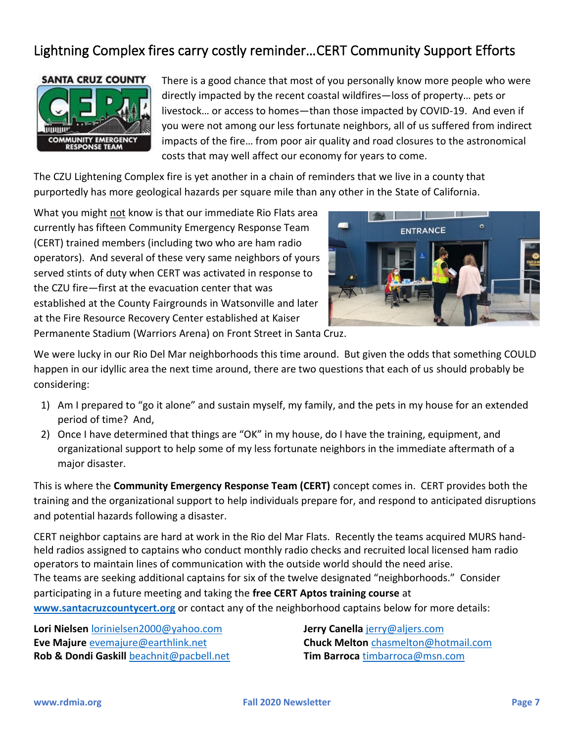### Lightning Complex fires carry costly reminder…CERT Community Support Efforts



There is a good chance that most of you personally know more people who were directly impacted by the recent coastal wildfires—loss of property… pets or livestock… or access to homes—than those impacted by COVID-19. And even if you were not among our less fortunate neighbors, all of us suffered from indirect impacts of the fire… from poor air quality and road closures to the astronomical costs that may well affect our economy for years to come.

The CZU Lightening Complex fire is yet another in a chain of reminders that we live in a county that purportedly has more geological hazards per square mile than any other in the State of California.

What you might not know is that our immediate Rio Flats area currently has fifteen Community Emergency Response Team (CERT) trained members (including two who are ham radio operators). And several of these very same neighbors of yours served stints of duty when CERT was activated in response to the CZU fire—first at the evacuation center that was established at the County Fairgrounds in Watsonville and later at the Fire Resource Recovery Center established at Kaiser



Permanente Stadium (Warriors Arena) on Front Street in Santa Cruz.

We were lucky in our Rio Del Mar neighborhoods this time around. But given the odds that something COULD happen in our idyllic area the next time around, there are two questions that each of us should probably be considering:

- 1) Am I prepared to "go it alone" and sustain myself, my family, and the pets in my house for an extended period of time? And,
- 2) Once I have determined that things are "OK" in my house, do I have the training, equipment, and organizational support to help some of my less fortunate neighbors in the immediate aftermath of a major disaster.

This is where the **Community Emergency Response Team (CERT)** concept comes in. CERT provides both the training and the organizational support to help individuals prepare for, and respond to anticipated disruptions and potential hazards following a disaster.

CERT neighbor captains are hard at work in the Rio del Mar Flats. Recently the teams acquired MURS handheld radios assigned to captains who conduct monthly radio checks and recruited local licensed ham radio operators to maintain lines of communication with the outside world should the need arise. The teams are seeking additional captains for six of the twelve designated "neighborhoods." Consider participating in a future meeting and taking the **free CERT Aptos training course** at **[www.santacruzcountycert.org](http://www.santacruzcountycert.org/)** or contact any of the neighborhood captains below for more details:

**Lori Nielsen** [lorinielsen2000@yahoo.com](mailto:lorinielsen2000@yahoo.com) **Eve Majure** [evemajure@earthlink.net](mailto:evemajure@earthlink.net) **Rob & Dondi Gaskill** [beachnit@pacbell.net](mailto:beachnit@pacbell.net)

**Jerry Canella** [jerry@aljers.com](mailto:jerry@aljers.com) **Chuck Melton** [chasmelton@hotmail.com](mailto:chasmelton@hotmail.com) **Tim Barroca** [timbarroca@msn.com](mailto:timbarroca@msn.com)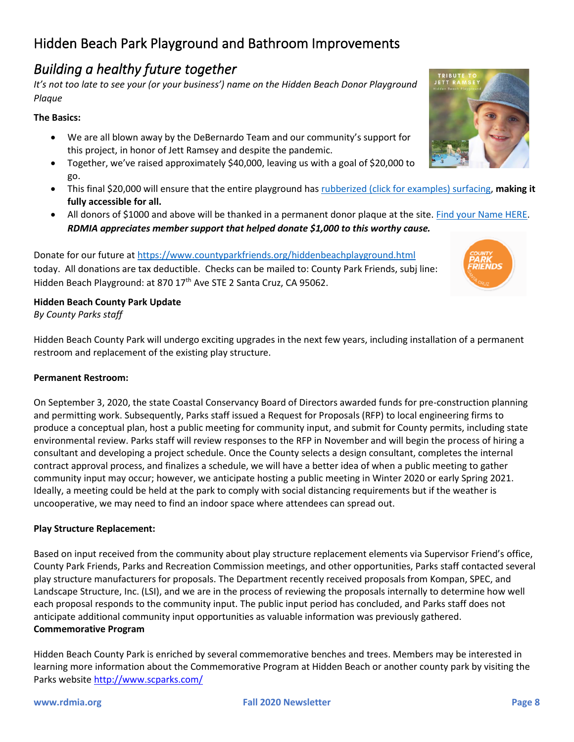### Hidden Beach Park Playground and Bathroom Improvements

### *Building a healthy future together*

*It's not too late to see your (or your business') name on the Hidden Beach Donor Playground Plaque*

#### **The Basics:**

- We are all blown away by the DeBernardo Team and our community's support for this project, in honor of Jett Ramsey and despite the pandemic.
- Together, we've raised approximately \$40,000, leaving us with a goal of \$20,000 to go.
- This final \$20,000 will ensure that the entire playground ha[s rubberized \(click for examples\) surfacing,](https://nam10.safelinks.protection.outlook.com/?url=https%3A%2F%2Fwww.asla.org%2Funiversalplaygrounds.aspx&data=02%7C01%7C%7Cfd8cfa082e20439a716508d864aadaec%7C84df9e7fe9f640afb435aaaaaaaaaaaa%7C1%7C0%7C637370032273281889&sdata=J72QTel9lsc5JZobMeGQ4vE1gkudQ4juCBwyWqmoq2M%3D&reserved=0) **making it fully accessible for all.**
- All donors of \$1000 and above will be thanked in a permanent donor plaque at the site. [Find your Name HERE.](https://nam10.safelinks.protection.outlook.com/?url=https%3A%2F%2Fwww.countyparkfriends.org%2Fhiddenbeachplayground.html&data=02%7C01%7C%7Cfd8cfa082e20439a716508d864aadaec%7C84df9e7fe9f640afb435aaaaaaaaaaaa%7C1%7C0%7C637370032273281889&sdata=8OH0QYOhKZV5Vh0m%2BoPSy1QaGpVusVlngaACW%2B0iJJY%3D&reserved=0) *RDMIA appreciates member support that helped donate \$1,000 to this worthy cause.*

Donate for our future a[t https://www.countyparkfriends.org/hiddenbeachplayground.html](https://nam10.safelinks.protection.outlook.com/?url=https%3A%2F%2Fwww.countyparkfriends.org%2Fhiddenbeachplayground.html&data=02%7C01%7C%7Cfd8cfa082e20439a716508d864aadaec%7C84df9e7fe9f640afb435aaaaaaaaaaaa%7C1%7C0%7C637370032273281889&sdata=8OH0QYOhKZV5Vh0m%2BoPSy1QaGpVusVlngaACW%2B0iJJY%3D&reserved=0) today. All donations are tax deductible. Checks can be mailed to: County Park Friends, subj line: Hidden Beach Playground: at 870 17<sup>th</sup> Ave STE 2 Santa Cruz, CA 95062.

#### **Hidden Beach County Park Update**

*By County Parks staff*

Hidden Beach County Park will undergo exciting upgrades in the next few years, including installation of a permanent restroom and replacement of the existing play structure.

#### **Permanent Restroom:**

On September 3, 2020, the state Coastal Conservancy Board of Directors awarded funds for pre-construction planning and permitting work. Subsequently, Parks staff issued a Request for Proposals (RFP) to local engineering firms to produce a conceptual plan, host a public meeting for community input, and submit for County permits, including state environmental review. Parks staff will review responses to the RFP in November and will begin the process of hiring a consultant and developing a project schedule. Once the County selects a design consultant, completes the internal contract approval process, and finalizes a schedule, we will have a better idea of when a public meeting to gather community input may occur; however, we anticipate hosting a public meeting in Winter 2020 or early Spring 2021. Ideally, a meeting could be held at the park to comply with social distancing requirements but if the weather is uncooperative, we may need to find an indoor space where attendees can spread out.

### **Play Structure Replacement:**

Based on input received from the community about play structure replacement elements via Supervisor Friend's office, County Park Friends, Parks and Recreation Commission meetings, and other opportunities, Parks staff contacted several play structure manufacturers for proposals. The Department recently received proposals from Kompan, SPEC, and Landscape Structure, Inc. (LSI), and we are in the process of reviewing the proposals internally to determine how well each proposal responds to the community input. The public input period has concluded, and Parks staff does not anticipate additional community input opportunities as valuable information was previously gathered. **Commemorative Program**

Hidden Beach County Park is enriched by several commemorative benches and trees. Members may be interested in learning more information about the Commemorative Program at Hidden Beach or another county park by visiting the Parks website<http://www.scparks.com/>

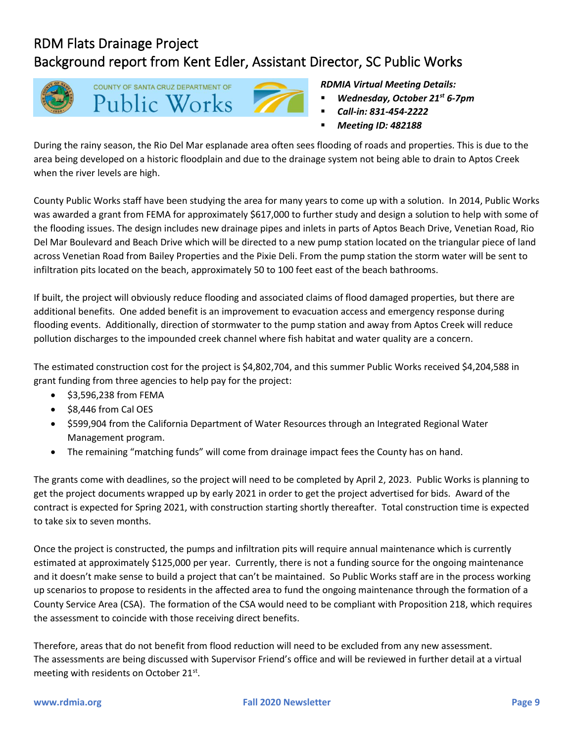### RDM Flats Drainage Project Background report from Kent Edler, Assistant Director, SC Public Works

$$
\text{C}^{\text{CONTY OF SANTACRUZ DEPARTMENT OF}}\\ \text{Public Works}
$$



*RDMIA Virtual Meeting Details:*

- *Wednesday, October 21st 6-7pm*
- *Call-in: 831-454-2222*
- *Meeting ID: 482188*

During the rainy season, the Rio Del Mar esplanade area often sees flooding of roads and properties. This is due to the area being developed on a historic floodplain and due to the drainage system not being able to drain to Aptos Creek when the river levels are high.

County Public Works staff have been studying the area for many years to come up with a solution. In 2014, Public Works was awarded a grant from FEMA for approximately \$617,000 to further study and design a solution to help with some of the flooding issues. The design includes new drainage pipes and inlets in parts of Aptos Beach Drive, Venetian Road, Rio Del Mar Boulevard and Beach Drive which will be directed to a new pump station located on the triangular piece of land across Venetian Road from Bailey Properties and the Pixie Deli. From the pump station the storm water will be sent to infiltration pits located on the beach, approximately 50 to 100 feet east of the beach bathrooms.

If built, the project will obviously reduce flooding and associated claims of flood damaged properties, but there are additional benefits. One added benefit is an improvement to evacuation access and emergency response during flooding events. Additionally, direction of stormwater to the pump station and away from Aptos Creek will reduce pollution discharges to the impounded creek channel where fish habitat and water quality are a concern.

The estimated construction cost for the project is \$4,802,704, and this summer Public Works received \$4,204,588 in grant funding from three agencies to help pay for the project:

- \$3,596,238 from FEMA
- \$8,446 from Cal OES
- \$599,904 from the California Department of Water Resources through an Integrated Regional Water Management program.
- The remaining "matching funds" will come from drainage impact fees the County has on hand.

The grants come with deadlines, so the project will need to be completed by April 2, 2023. Public Works is planning to get the project documents wrapped up by early 2021 in order to get the project advertised for bids. Award of the contract is expected for Spring 2021, with construction starting shortly thereafter. Total construction time is expected to take six to seven months.

Once the project is constructed, the pumps and infiltration pits will require annual maintenance which is currently estimated at approximately \$125,000 per year. Currently, there is not a funding source for the ongoing maintenance and it doesn't make sense to build a project that can't be maintained. So Public Works staff are in the process working up scenarios to propose to residents in the affected area to fund the ongoing maintenance through the formation of a County Service Area (CSA). The formation of the CSA would need to be compliant with Proposition 218, which requires the assessment to coincide with those receiving direct benefits.

Therefore, areas that do not benefit from flood reduction will need to be excluded from any new assessment. The assessments are being discussed with Supervisor Friend's office and will be reviewed in further detail at a virtual meeting with residents on October 21st.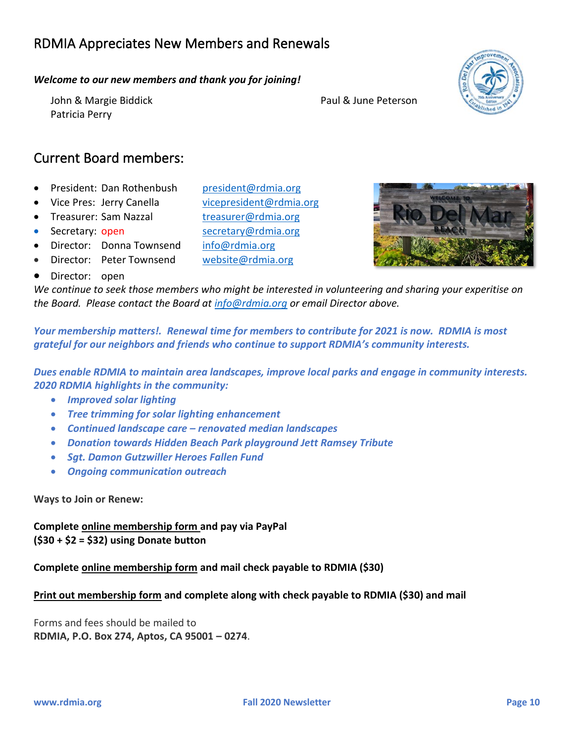### RDMIA Appreciates New Members and Renewals

### *Welcome to our new members and thank you for joining!*

John & Margie Biddick Patricia Perry

#### Paul & June Peterson



### Current Board members:

- President: Dan Rothenbush [president@rdmia.org](mailto:president@rdmia.org)
- Vice Pres: Jerry Canella [vicepresident@rdmia.org](mailto:vicepresident@rdmia.org)
- Treasurer: Sam Nazzal [treasurer@rdmia.org](mailto:treasurer@rdmia.org)
- Secretary: open [secretary@rdmia.org](mailto:secretary@rdmia.org)
- Director: Donna Townsend [info@rdmia.org](mailto:info@rdmia.org)
- Director: Peter Townsend [website@rdmia.org](mailto:website@rdmia.org)
- Director: open

*We continue to seek those members who might be interested in volunteering and sharing your experitise on the Board. Please contact the Board at [info@rdmia.org](mailto:info@rdmia.org) or email Director above.*

*Your membership matters!. Renewal time for members to contribute for 2021 is now. RDMIA is most grateful for our neighbors and friends who continue to support RDMIA's community interests.* 

*Dues enable RDMIA to maintain area landscapes, improve local parks and engage in community interests. 2020 RDMIA highlights in the community:*

- *Improved solar lighting*
- *Tree trimming for solar lighting enhancement*
- *Continued landscape care – renovated median landscapes*
- *Donation towards Hidden Beach Park playground Jett Ramsey Tribute*
- *Sgt. Damon Gutzwiller Heroes Fallen Fund*
- *Ongoing communication outreach*

**Ways to Join or Renew:**

**Complete [online membership form](https://www.rdmia.org/membership-form) and pay via PayPal (\$30 + \$2 = \$32) using Donate button**

**Complete [online membership form](https://www.rdmia.org/membership-form) and mail check payable to RDMIA (\$30)**

#### **[Print out membership form](https://docs.wixstatic.com/ugd/c30a45_5c1134816cc14ce9a0041daf93c506b6.pdf) and complete along with check payable to RDMIA (\$30) and mail**

Forms and fees should be mailed to **RDMIA, P.O. Box 274, Aptos, CA 95001 – 0274**.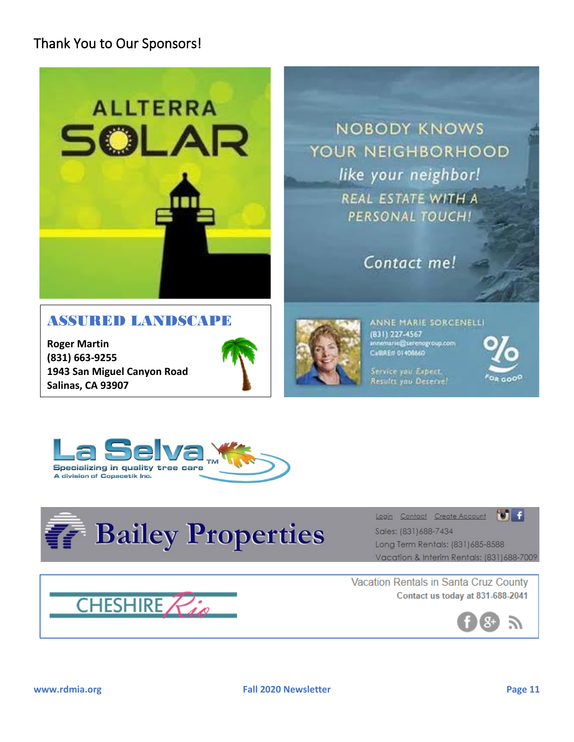### Thank You to Our Sponsors!



**NOBODY KNOWS** YOUR NEIGHBORHOOD like your neighbor! **REAL ESTATE WITH A** PERSONAL TOUCH!

Contact me!

### ASSURED LANDSCAPE

**Roger Martin (831) 663-9255 1943 San Miguel Canyon Road Salinas, CA 93907**





ANNE MARIE SORCENELLI (831) 227-4567

Service you Expect. Results you Deserve!

**CARREN 01406550** 







Login Contact Create Account  $\mathbf{a}$  f Sales: (831)688-7434 Long Term Rentals: (831) 685-8588 Vacation & Interim Rentals: (831) 688-7009

Vacation Rentals in Santa Cruz County Contact us today at 831-688-2041